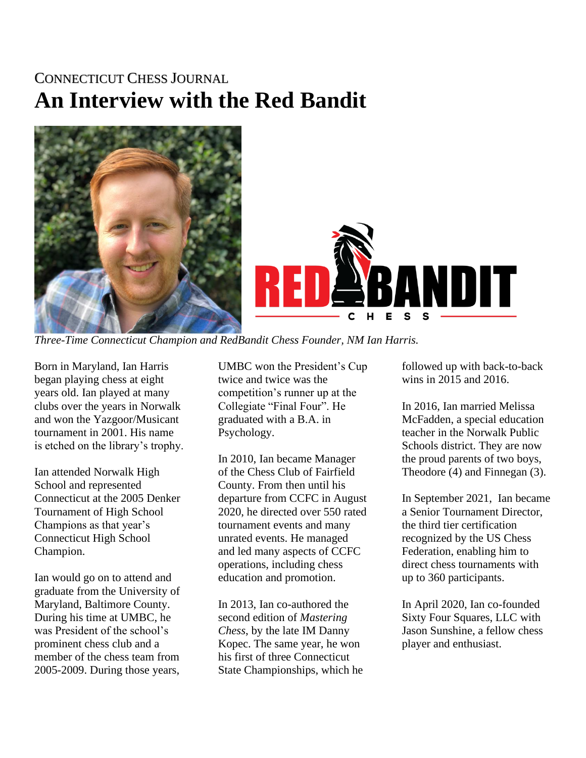## CONNECTICUT CHESS JOURNAL **An Interview with the Red Bandit**



*Three-Time Connecticut Champion and RedBandit Chess Founder, NM Ian Harris.*

Born in Maryland, Ian Harris began playing chess at eight years old. Ian played at many clubs over the years in Norwalk and won the Yazgoor/Musicant tournament in 2001. His name is etched on the library's trophy.

Ian attended Norwalk High School and represented Connecticut at the 2005 Denker Tournament of High School Champions as that year's Connecticut High School Champion.

Ian would go on to attend and graduate from the University of Maryland, Baltimore County. During his time at UMBC, he was President of the school's prominent chess club and a member of the chess team from 2005-2009. During those years,

UMBC won the President's Cup twice and twice was the competition's runner up at the Collegiate "Final Four". He graduated with a B.A. in Psychology.

In 2010, Ian became Manager of the Chess Club of Fairfield County. From then until his departure from CCFC in August 2020, he directed over 550 rated tournament events and many unrated events. He managed and led many aspects of CCFC operations, including chess education and promotion.

In 2013, Ian co-authored the second edition of *Mastering Chess*, by the late IM Danny Kopec. The same year, he won his first of three Connecticut State Championships, which he followed up with back-to-back wins in 2015 and 2016.

In 2016, Ian married Melissa McFadden, a special education teacher in the Norwalk Public Schools district. They are now the proud parents of two boys, Theodore (4) and Finnegan (3).

In September 2021, Ian became a Senior Tournament Director, the third tier certification recognized by the US Chess Federation, enabling him to direct chess tournaments with up to 360 participants.

In April 2020, Ian co-founded Sixty Four Squares, LLC with Jason Sunshine, a fellow chess player and enthusiast.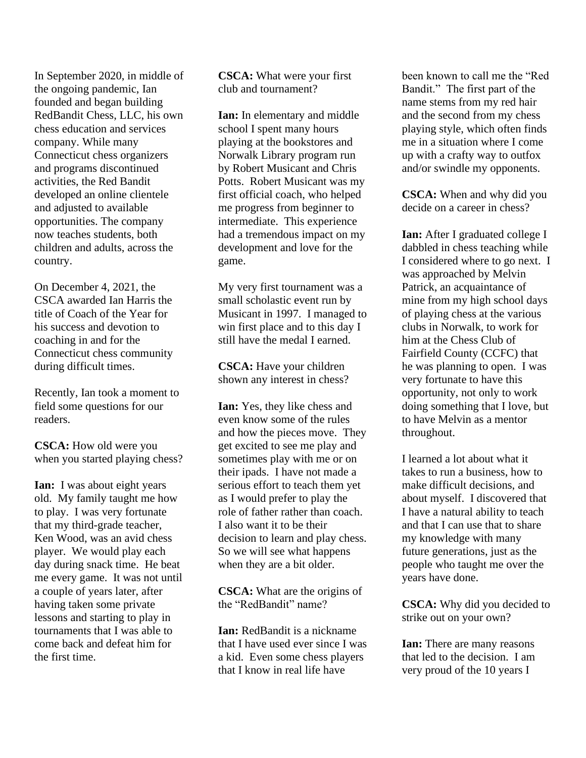In September 2020, in middle of the ongoing pandemic, Ian founded and began building RedBandit Chess, LLC, his own chess education and services company. While many Connecticut chess organizers and programs discontinued activities, the Red Bandit developed an online clientele and adjusted to available opportunities. The company now teaches students, both children and adults, across the country.

On December 4, 2021, the CSCA awarded Ian Harris the title of Coach of the Year for his success and devotion to coaching in and for the Connecticut chess community during difficult times.

Recently, Ian took a moment to field some questions for our readers.

**CSCA:** How old were you when you started playing chess?

**Ian:** I was about eight years old. My family taught me how to play. I was very fortunate that my third-grade teacher, Ken Wood, was an avid chess player. We would play each day during snack time. He beat me every game. It was not until a couple of years later, after having taken some private lessons and starting to play in tournaments that I was able to come back and defeat him for the first time.

**CSCA:** What were your first club and tournament?

**Ian:** In elementary and middle school I spent many hours playing at the bookstores and Norwalk Library program run by Robert Musicant and Chris Potts. Robert Musicant was my first official coach, who helped me progress from beginner to intermediate. This experience had a tremendous impact on my development and love for the game.

My very first tournament was a small scholastic event run by Musicant in 1997. I managed to win first place and to this day I still have the medal I earned.

**CSCA:** Have your children shown any interest in chess?

**Ian:** Yes, they like chess and even know some of the rules and how the pieces move. They get excited to see me play and sometimes play with me or on their ipads. I have not made a serious effort to teach them yet as I would prefer to play the role of father rather than coach. I also want it to be their decision to learn and play chess. So we will see what happens when they are a bit older.

**CSCA:** What are the origins of the "RedBandit" name?

**Ian:** RedBandit is a nickname that I have used ever since I was a kid. Even some chess players that I know in real life have

been known to call me the "Red Bandit." The first part of the name stems from my red hair and the second from my chess playing style, which often finds me in a situation where I come up with a crafty way to outfox and/or swindle my opponents.

**CSCA:** When and why did you decide on a career in chess?

**Ian:** After I graduated college I dabbled in chess teaching while I considered where to go next. I was approached by Melvin Patrick, an acquaintance of mine from my high school days of playing chess at the various clubs in Norwalk, to work for him at the Chess Club of Fairfield County (CCFC) that he was planning to open. I was very fortunate to have this opportunity, not only to work doing something that I love, but to have Melvin as a mentor throughout.

I learned a lot about what it takes to run a business, how to make difficult decisions, and about myself. I discovered that I have a natural ability to teach and that I can use that to share my knowledge with many future generations, just as the people who taught me over the years have done.

**CSCA:** Why did you decided to strike out on your own?

**Ian:** There are many reasons that led to the decision. I am very proud of the 10 years I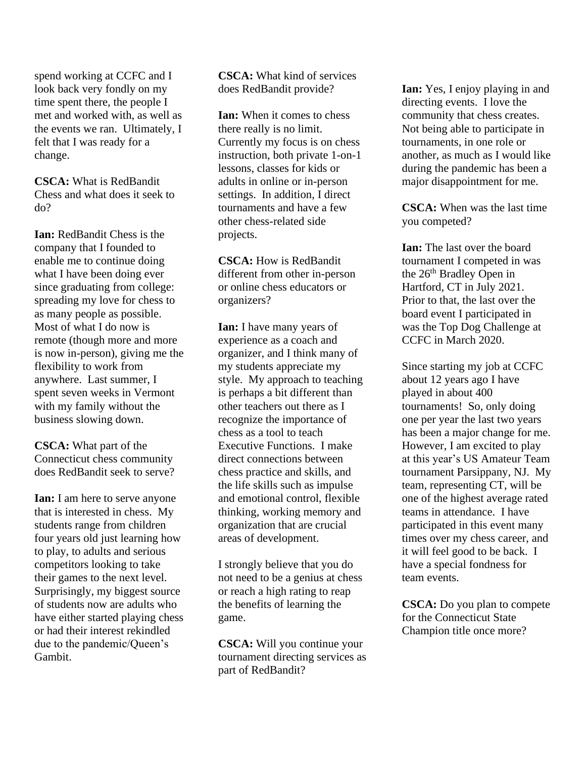spend working at CCFC and I look back very fondly on my time spent there, the people I met and worked with, as well as the events we ran. Ultimately, I felt that I was ready for a change.

**CSCA:** What is RedBandit Chess and what does it seek to do?

**Ian:** RedBandit Chess is the company that I founded to enable me to continue doing what I have been doing ever since graduating from college: spreading my love for chess to as many people as possible. Most of what I do now is remote (though more and more is now in-person), giving me the flexibility to work from anywhere. Last summer, I spent seven weeks in Vermont with my family without the business slowing down.

**CSCA:** What part of the Connecticut chess community does RedBandit seek to serve?

**Ian:** I am here to serve anyone that is interested in chess. My students range from children four years old just learning how to play, to adults and serious competitors looking to take their games to the next level. Surprisingly, my biggest source of students now are adults who have either started playing chess or had their interest rekindled due to the pandemic/Queen's Gambit.

**CSCA:** What kind of services does RedBandit provide?

**Ian:** When it comes to chess there really is no limit. Currently my focus is on chess instruction, both private 1-on-1 lessons, classes for kids or adults in online or in-person settings. In addition, I direct tournaments and have a few other chess-related side projects.

**CSCA:** How is RedBandit different from other in-person or online chess educators or organizers?

**Ian:** I have many years of experience as a coach and organizer, and I think many of my students appreciate my style. My approach to teaching is perhaps a bit different than other teachers out there as I recognize the importance of chess as a tool to teach Executive Functions. I make direct connections between chess practice and skills, and the life skills such as impulse and emotional control, flexible thinking, working memory and organization that are crucial areas of development.

I strongly believe that you do not need to be a genius at chess or reach a high rating to reap the benefits of learning the game.

**CSCA:** Will you continue your tournament directing services as part of RedBandit?

**Ian:** Yes, I enjoy playing in and directing events. I love the community that chess creates. Not being able to participate in tournaments, in one role or another, as much as I would like during the pandemic has been a major disappointment for me.

**CSCA:** When was the last time you competed?

**Ian:** The last over the board tournament I competed in was the  $26<sup>th</sup>$  Bradley Open in Hartford, CT in July 2021. Prior to that, the last over the board event I participated in was the Top Dog Challenge at CCFC in March 2020.

Since starting my job at CCFC about 12 years ago I have played in about 400 tournaments! So, only doing one per year the last two years has been a major change for me. However, I am excited to play at this year's US Amateur Team tournament Parsippany, NJ. My team, representing CT, will be one of the highest average rated teams in attendance. I have participated in this event many times over my chess career, and it will feel good to be back. I have a special fondness for team events.

**CSCA:** Do you plan to compete for the Connecticut State Champion title once more?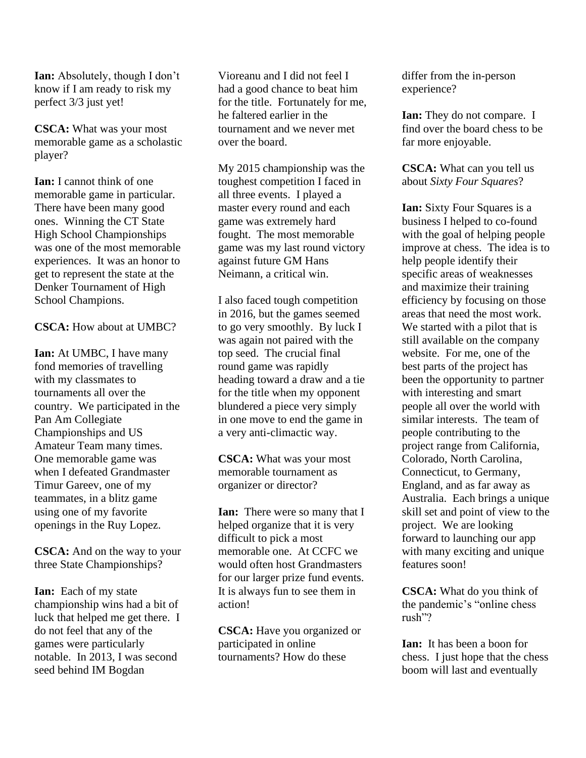**Ian:** Absolutely, though I don't know if I am ready to risk my perfect 3/3 just yet!

**CSCA:** What was your most memorable game as a scholastic player?

**Ian:** I cannot think of one memorable game in particular. There have been many good ones. Winning the CT State High School Championships was one of the most memorable experiences. It was an honor to get to represent the state at the Denker Tournament of High School Champions.

**CSCA:** How about at UMBC?

**Ian:** At UMBC, I have many fond memories of travelling with my classmates to tournaments all over the country. We participated in the Pan Am Collegiate Championships and US Amateur Team many times. One memorable game was when I defeated Grandmaster Timur Gareev, one of my teammates, in a blitz game using one of my favorite openings in the Ruy Lopez.

**CSCA:** And on the way to your three State Championships?

**Ian:** Each of my state championship wins had a bit of luck that helped me get there. I do not feel that any of the games were particularly notable. In 2013, I was second seed behind IM Bogdan

Vioreanu and I did not feel I had a good chance to beat him for the title. Fortunately for me, he faltered earlier in the tournament and we never met over the board.

My 2015 championship was the toughest competition I faced in all three events. I played a master every round and each game was extremely hard fought. The most memorable game was my last round victory against future GM Hans Neimann, a critical win.

I also faced tough competition in 2016, but the games seemed to go very smoothly. By luck I was again not paired with the top seed. The crucial final round game was rapidly heading toward a draw and a tie for the title when my opponent blundered a piece very simply in one move to end the game in a very anti-climactic way.

**CSCA:** What was your most memorable tournament as organizer or director?

**Ian:** There were so many that I helped organize that it is very difficult to pick a most memorable one. At CCFC we would often host Grandmasters for our larger prize fund events. It is always fun to see them in action!

**CSCA:** Have you organized or participated in online tournaments? How do these

differ from the in-person experience?

**Ian:** They do not compare. I find over the board chess to be far more enjoyable.

**CSCA:** What can you tell us about *Sixty Four Squares*?

**Ian:** Sixty Four Squares is a business I helped to co-found with the goal of helping people improve at chess. The idea is to help people identify their specific areas of weaknesses and maximize their training efficiency by focusing on those areas that need the most work. We started with a pilot that is still available on the company website. For me, one of the best parts of the project has been the opportunity to partner with interesting and smart people all over the world with similar interests. The team of people contributing to the project range from California, Colorado, North Carolina, Connecticut, to Germany, England, and as far away as Australia. Each brings a unique skill set and point of view to the project. We are looking forward to launching our app with many exciting and unique features soon!

**CSCA:** What do you think of the pandemic's "online chess rush"?

**Ian:** It has been a boon for chess. I just hope that the chess boom will last and eventually